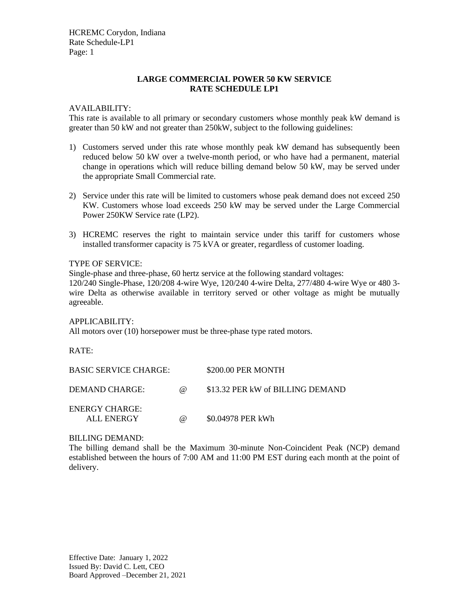HCREMC Corydon, Indiana Rate Schedule-LP1 Page: 1

# **LARGE COMMERCIAL POWER 50 KW SERVICE RATE SCHEDULE LP1**

## AVAILABILITY:

This rate is available to all primary or secondary customers whose monthly peak kW demand is greater than 50 kW and not greater than 250kW, subject to the following guidelines:

- 1) Customers served under this rate whose monthly peak kW demand has subsequently been reduced below 50 kW over a twelve-month period, or who have had a permanent, material change in operations which will reduce billing demand below 50 kW, may be served under the appropriate Small Commercial rate.
- 2) Service under this rate will be limited to customers whose peak demand does not exceed 250 KW. Customers whose load exceeds 250 kW may be served under the Large Commercial Power 250KW Service rate (LP2).
- 3) HCREMC reserves the right to maintain service under this tariff for customers whose installed transformer capacity is 75 kVA or greater, regardless of customer loading.

### TYPE OF SERVICE:

Single-phase and three-phase, 60 hertz service at the following standard voltages:

120/240 Single-Phase, 120/208 4-wire Wye, 120/240 4-wire Delta, 277/480 4-wire Wye or 480 3 wire Delta as otherwise available in territory served or other voltage as might be mutually agreeable.

#### APPLICABILITY:

All motors over (10) horsepower must be three-phase type rated motors.

RATE:

| <b>BASIC SERVICE CHARGE:</b>        |          | \$200.00 PER MONTH               |
|-------------------------------------|----------|----------------------------------|
| DEMAND CHARGE:                      | $\omega$ | \$13.32 PER kW of BILLING DEMAND |
| <b>ENERGY CHARGE:</b><br>ALL ENERGY | $\omega$ | \$0.04978 PER kWh                |

#### BILLING DEMAND:

The billing demand shall be the Maximum 30-minute Non-Coincident Peak (NCP) demand established between the hours of 7:00 AM and 11:00 PM EST during each month at the point of delivery.